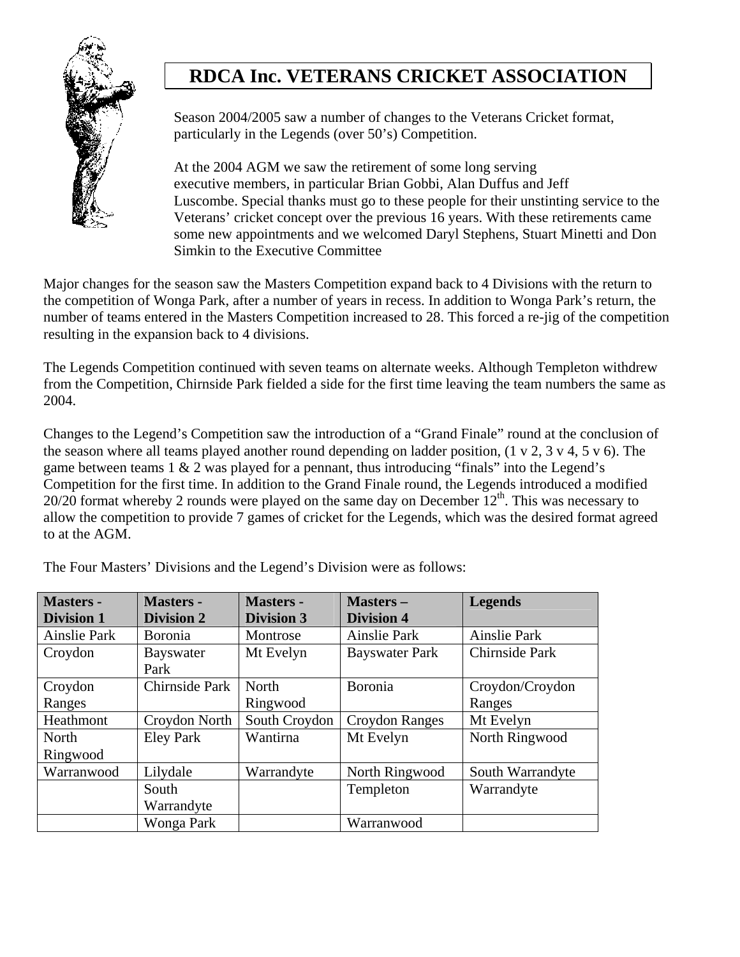

Season 2004/2005 saw a number of changes to the Veterans Cricket format, particularly in the Legends (over 50's) Competition.

At the 2004 AGM we saw the retirement of some long serving executive members, in particular Brian Gobbi, Alan Duffus and Jeff Luscombe. Special thanks must go to these people for their unstinting service to the Veterans' cricket concept over the previous 16 years. With these retirements came some new appointments and we welcomed Daryl Stephens, Stuart Minetti and Don Simkin to the Executive Committee

Major changes for the season saw the Masters Competition expand back to 4 Divisions with the return to the competition of Wonga Park, after a number of years in recess. In addition to Wonga Park's return, the number of teams entered in the Masters Competition increased to 28. This forced a re-jig of the competition resulting in the expansion back to 4 divisions.

The Legends Competition continued with seven teams on alternate weeks. Although Templeton withdrew from the Competition, Chirnside Park fielded a side for the first time leaving the team numbers the same as 2004.

Changes to the Legend's Competition saw the introduction of a "Grand Finale" round at the conclusion of the season where all teams played another round depending on ladder position, (1 v 2, 3 v 4, 5 v 6). The game between teams  $1 \& 2$  was played for a pennant, thus introducing "finals" into the Legend's Competition for the first time. In addition to the Grand Finale round, the Legends introduced a modified  $20/20$  format whereby 2 rounds were played on the same day on December  $12<sup>th</sup>$ . This was necessary to allow the competition to provide 7 games of cricket for the Legends, which was the desired format agreed to at the AGM.

| <b>Masters -</b>    | <b>Masters -</b>  | <b>Masters -</b>  | <b>Masters-</b>       | <b>Legends</b>   |
|---------------------|-------------------|-------------------|-----------------------|------------------|
| <b>Division 1</b>   | <b>Division 2</b> | <b>Division 3</b> | <b>Division 4</b>     |                  |
| <b>Ainslie Park</b> | <b>B</b> oronia   | Montrose          | Ainslie Park          | Ainslie Park     |
| Croydon             | Bayswater         | Mt Evelyn         | <b>Bayswater Park</b> | Chirnside Park   |
|                     | Park              |                   |                       |                  |
| Croydon             | Chirnside Park    | North             | Boronia               | Croydon/Croydon  |
| Ranges              |                   | Ringwood          |                       | Ranges           |
| Heathmont           | Croydon North     | South Croydon     | <b>Croydon Ranges</b> | Mt Evelyn        |
| North               | <b>Eley Park</b>  | Wantirna          | Mt Evelyn             | North Ringwood   |
| Ringwood            |                   |                   |                       |                  |
| Warranwood          | Lilydale          | Warrandyte        | North Ringwood        | South Warrandyte |
|                     | South             |                   | Templeton             | Warrandyte       |
|                     | Warrandyte        |                   |                       |                  |
|                     | Wonga Park        |                   | Warranwood            |                  |

The Four Masters' Divisions and the Legend's Division were as follows: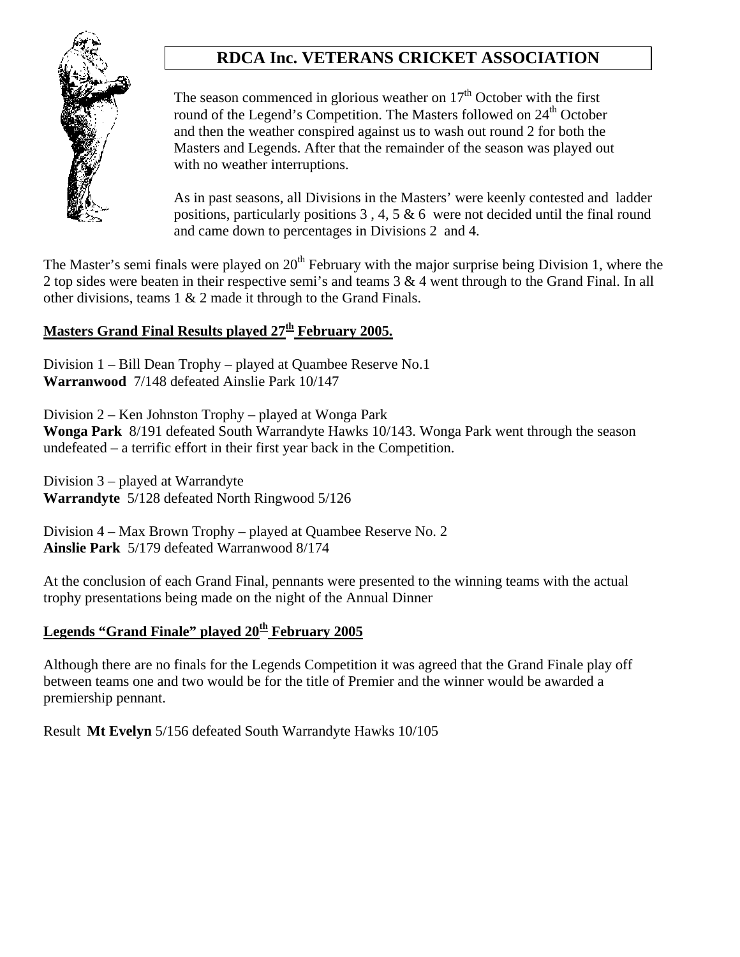

The season commenced in glorious weather on  $17<sup>th</sup>$  October with the first round of the Legend's Competition. The Masters followed on 24<sup>th</sup> October and then the weather conspired against us to wash out round 2 for both the Masters and Legends. After that the remainder of the season was played out with no weather interruptions.

As in past seasons, all Divisions in the Masters' were keenly contested and ladder positions, particularly positions 3 , 4, 5 & 6 were not decided until the final round and came down to percentages in Divisions 2 and 4.

The Master's semi finals were played on  $20<sup>th</sup>$  February with the major surprise being Division 1, where the 2 top sides were beaten in their respective semi's and teams 3 & 4 went through to the Grand Final. In all other divisions, teams 1 & 2 made it through to the Grand Finals.

#### **Masters Grand Final Results played 27th February 2005.**

Division 1 – Bill Dean Trophy – played at Quambee Reserve No.1 **Warranwood** 7/148 defeated Ainslie Park 10/147

Division 2 – Ken Johnston Trophy – played at Wonga Park **Wonga Park** 8/191 defeated South Warrandyte Hawks 10/143. Wonga Park went through the season undefeated – a terrific effort in their first year back in the Competition.

Division 3 – played at Warrandyte **Warrandyte** 5/128 defeated North Ringwood 5/126

Division 4 – Max Brown Trophy – played at Quambee Reserve No. 2 **Ainslie Park** 5/179 defeated Warranwood 8/174

At the conclusion of each Grand Final, pennants were presented to the winning teams with the actual trophy presentations being made on the night of the Annual Dinner

### **Legends "Grand Finale" played 20th February 2005**

Although there are no finals for the Legends Competition it was agreed that the Grand Finale play off between teams one and two would be for the title of Premier and the winner would be awarded a premiership pennant.

Result **Mt Evelyn** 5/156 defeated South Warrandyte Hawks 10/105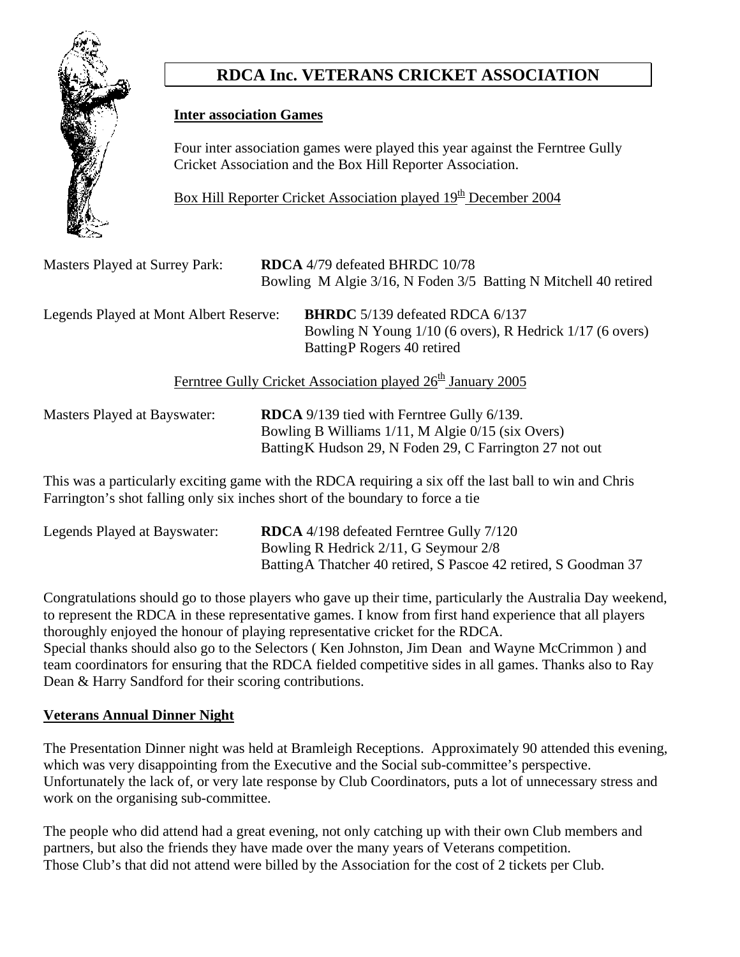

### **Inter association Games**

 Four inter association games were played this year against the Ferntree Gully Cricket Association and the Box Hill Reporter Association.

Box Hill Reporter Cricket Association played 19<sup>th</sup> December 2004

| <b>Masters Played at Surrey Park:</b>  | <b>RDCA</b> 4/79 defeated BHRDC 10/78<br>Bowling M Algie 3/16, N Foden 3/5 Batting N Mitchell 40 retired                          |
|----------------------------------------|-----------------------------------------------------------------------------------------------------------------------------------|
| Legends Played at Mont Albert Reserve: | <b>BHRDC</b> 5/139 defeated RDCA 6/137<br>Bowling N Young 1/10 (6 overs), R Hedrick 1/17 (6 overs)<br>Batting P Rogers 40 retired |
|                                        | Ferntree Gully Cricket Association played 26 <sup>th</sup> January 2005                                                           |
| Mactore Dlaved at Rayswater            | <b>DDCA</b> $0/130$ tied with Ferntree Gully $6/130$                                                                              |

Masters Played at Bayswater: **RDCA** 9/139 tied with Ferntree Gully 6/139. Bowling B Williams 1/11, M Algie 0/15 (six Overs) BattingK Hudson 29, N Foden 29, C Farrington 27 not out

This was a particularly exciting game with the RDCA requiring a six off the last ball to win and Chris Farrington's shot falling only six inches short of the boundary to force a tie

| Legends Played at Bayswater: | <b>RDCA</b> 4/198 defeated Ferntree Gully 7/120                  |
|------------------------------|------------------------------------------------------------------|
|                              | Bowling R Hedrick 2/11, G Seymour 2/8                            |
|                              | Batting A Thatcher 40 retired, S Pascoe 42 retired, S Goodman 37 |

Congratulations should go to those players who gave up their time, particularly the Australia Day weekend, to represent the RDCA in these representative games. I know from first hand experience that all players thoroughly enjoyed the honour of playing representative cricket for the RDCA. Special thanks should also go to the Selectors ( Ken Johnston, Jim Dean and Wayne McCrimmon ) and team coordinators for ensuring that the RDCA fielded competitive sides in all games. Thanks also to Ray Dean & Harry Sandford for their scoring contributions.

### **Veterans Annual Dinner Night**

The Presentation Dinner night was held at Bramleigh Receptions. Approximately 90 attended this evening, which was very disappointing from the Executive and the Social sub-committee's perspective. Unfortunately the lack of, or very late response by Club Coordinators, puts a lot of unnecessary stress and work on the organising sub-committee.

The people who did attend had a great evening, not only catching up with their own Club members and partners, but also the friends they have made over the many years of Veterans competition. Those Club's that did not attend were billed by the Association for the cost of 2 tickets per Club.